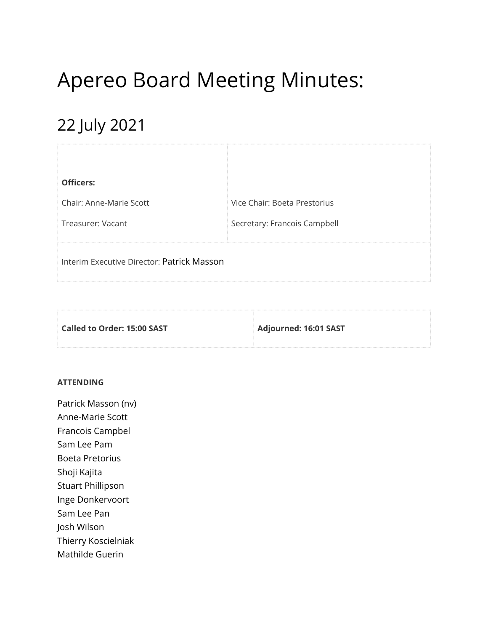# Apereo Board Meeting Minutes:

# 22 July 2021

| <b>Officers:</b>                           |                              |
|--------------------------------------------|------------------------------|
| <b>Chair: Anne-Marie Scott</b>             | Vice Chair: Boeta Prestorius |
| Treasurer: Vacant                          | Secretary: Francois Campbell |
| Interim Executive Director: Patrick Masson |                              |

| Called to Order: 15:00 SAST | Adjourned: 16:01 SAST |
|-----------------------------|-----------------------|
|                             |                       |

#### **ATTENDING**

Patrick Masson (nv) Anne-Marie Scott Francois Campbel Sam Lee Pam Boeta Pretorius Shoji Kajita Stuart Phillipson Inge Donkervoort Sam Lee Pan Josh Wilson Thierry Koscielniak Mathilde Guerin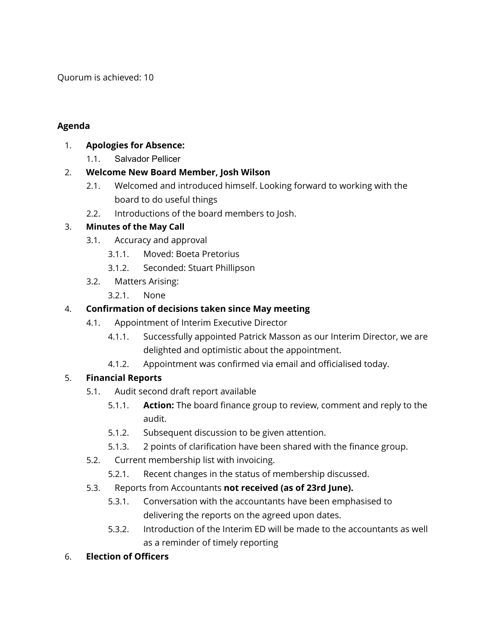Quorum is achieved: 10

#### **Agenda**

#### 1. **Apologies for Absence:**

1.1. Salvador Pellicer

### 2. **Welcome New Board Member, Josh Wilson**

- 2.1. Welcomed and introduced himself. Looking forward to working with the board to do useful things
- 2.2. Introductions of the board members to Josh.

### 3. **Minutes of the May Call**

- 3.1. Accuracy and approval
	- 3.1.1. Moved: Boeta Pretorius
	- 3.1.2. Seconded: Stuart Phillipson
- 3.2. Matters Arising:
	- 3.2.1. None

# 4. **Confirmation of decisions taken since May meeting**

- 4.1. Appointment of Interim Executive Director
	- 4.1.1. Successfully appointed Patrick Masson as our Interim Director, we are delighted and optimistic about the appointment.
	- 4.1.2. Appointment was confirmed via email and officialised today.

# 5. **Financial Reports**

- 5.1. Audit second draft report available
	- 5.1.1. **Action:** The board finance group to review, comment and reply to the audit.
	- 5.1.2. Subsequent discussion to be given attention.
	- 5.1.3. 2 points of clarification have been shared with the finance group.
- 5.2. Current membership list with invoicing.
	- 5.2.1. Recent changes in the status of membership discussed.
- 5.3. Reports from Accountants **not received (as of 23rd June).**
	- 5.3.1. Conversation with the accountants have been emphasised to delivering the reports on the agreed upon dates.
	- 5.3.2. Introduction of the Interim ED will be made to the accountants as well as a reminder of timely reporting
- 6. **Election of Officers**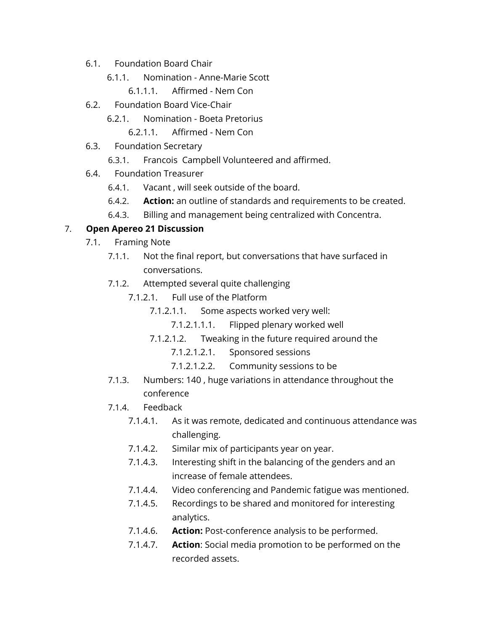- 6.1. Foundation Board Chair
	- 6.1.1. Nomination Anne-Marie Scott
		- 6.1.1.1. Affirmed Nem Con
- 6.2. Foundation Board Vice-Chair
	- 6.2.1. Nomination Boeta Pretorius
		- 6.2.1.1. Affirmed Nem Con
- 6.3. Foundation Secretary
	- 6.3.1. Francois Campbell Volunteered and affirmed.
- 6.4. Foundation Treasurer
	- 6.4.1. Vacant , will seek outside of the board.
	- 6.4.2. **Action:** an outline of standards and requirements to be created.
	- 6.4.3. Billing and management being centralized with Concentra.

#### 7. **Open Apereo 21 Discussion**

- 7.1. Framing Note
	- 7.1.1. Not the final report, but conversations that have surfaced in conversations.
	- 7.1.2. Attempted several quite challenging
		- 7.1.2.1. Full use of the Platform
			- 7.1.2.1.1. Some aspects worked very well:
				- 7.1.2.1.1.1. Flipped plenary worked well
			- 7.1.2.1.2. Tweaking in the future required around the
				- 7.1.2.1.2.1. Sponsored sessions
				- 7.1.2.1.2.2. Community sessions to be
	- 7.1.3. Numbers: 140 , huge variations in attendance throughout the conference
	- 7.1.4. Feedback
		- 7.1.4.1. As it was remote, dedicated and continuous attendance was challenging.
		- 7.1.4.2. Similar mix of participants year on year.
		- 7.1.4.3. Interesting shift in the balancing of the genders and an increase of female attendees.
		- 7.1.4.4. Video conferencing and Pandemic fatigue was mentioned.
		- 7.1.4.5. Recordings to be shared and monitored for interesting analytics.
		- 7.1.4.6. **Action:** Post-conference analysis to be performed.
		- 7.1.4.7. **Action**: Social media promotion to be performed on the recorded assets.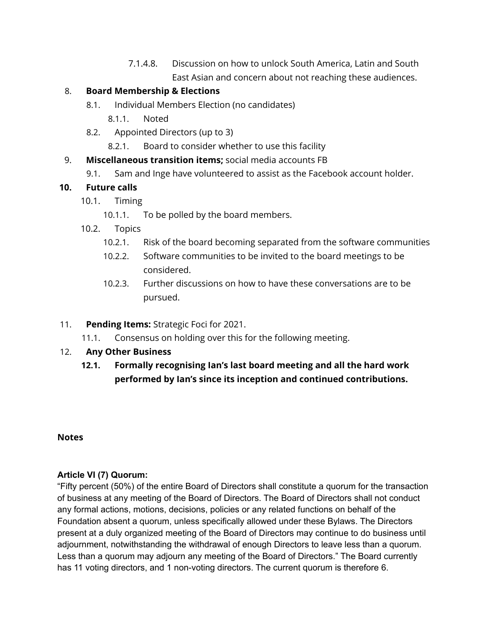7.1.4.8. Discussion on how to unlock South America, Latin and South East Asian and concern about not reaching these audiences.

#### 8. **Board Membership & Elections**

- 8.1. Individual Members Election (no candidates)
	- 8.1.1. Noted
- 8.2. Appointed Directors (up to 3)
	- 8.2.1. Board to consider whether to use this facility

#### 9. **Miscellaneous transition items;** social media accounts FB

9.1. Sam and Inge have volunteered to assist as the Facebook account holder.

#### **10. Future calls**

- 10.1. Timing
	- 10.1.1. To be polled by the board members.
- 10.2. Topics
	- 10.2.1. Risk of the board becoming separated from the software communities
	- 10.2.2. Software communities to be invited to the board meetings to be considered.
	- 10.2.3. Further discussions on how to have these conversations are to be pursued.

#### 11. **Pending Items:** Strategic Foci for 2021.

11.1. Consensus on holding over this for the following meeting.

#### 12. **Any Other Business**

**12.1. Formally recognising Ian's last board meeting and all the hard work performed by Ian's since its inception and continued contributions.**

#### **Notes**

#### **Article VI (7) Quorum:**

"Fifty percent (50%) of the entire Board of Directors shall constitute a quorum for the transaction of business at any meeting of the Board of Directors. The Board of Directors shall not conduct any formal actions, motions, decisions, policies or any related functions on behalf of the Foundation absent a quorum, unless specifically allowed under these Bylaws. The Directors present at a duly organized meeting of the Board of Directors may continue to do business until adjournment, notwithstanding the withdrawal of enough Directors to leave less than a quorum. Less than a quorum may adjourn any meeting of the Board of Directors." The Board currently has 11 voting directors, and 1 non-voting directors. The current quorum is therefore 6.